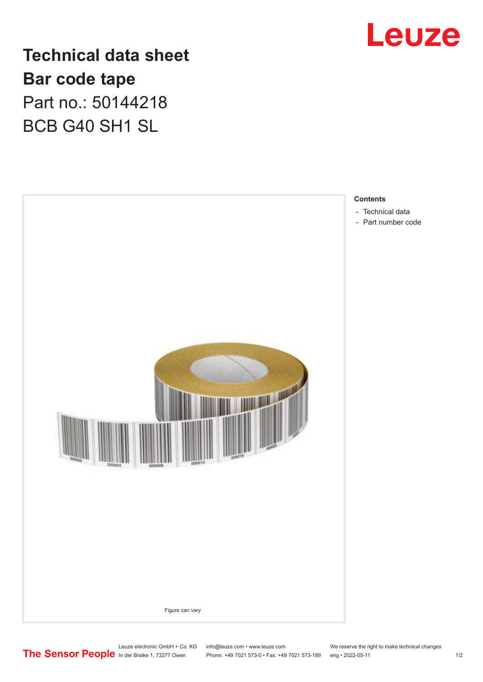

**Technical data sheet Bar code tape** Part no.: 50144218 BCB G40 SH1 SL



- 
- [Part number code](#page-1-0)

Leuze electronic GmbH + Co. KG info@leuze.com • www.leuze.com We reserve the right to make technical changes<br>
The Sensor People in der Braike 1, 73277 Owen Phone: +49 7021 573-0 • Fax: +49 7021 573-199 eng • 2022-05-11

Phone: +49 7021 573-0 • Fax: +49 7021 573-199 eng • 2022-05-11 1 2